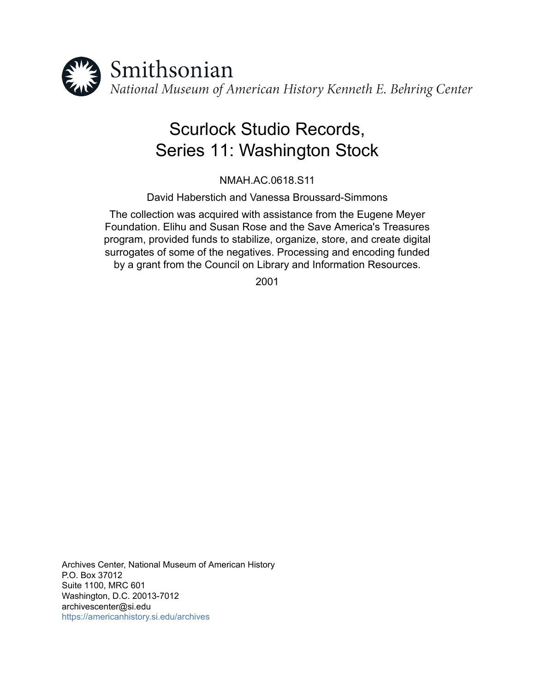

# Scurlock Studio Records, Series 11: Washington Stock

NMAH.AC.0618.S11

David Haberstich and Vanessa Broussard-Simmons

The collection was acquired with assistance from the Eugene Meyer Foundation. Elihu and Susan Rose and the Save America's Treasures program, provided funds to stabilize, organize, store, and create digital surrogates of some of the negatives. Processing and encoding funded by a grant from the Council on Library and Information Resources.

2001

Archives Center, National Museum of American History P.O. Box 37012 Suite 1100, MRC 601 Washington, D.C. 20013-7012 archivescenter@si.edu <https://americanhistory.si.edu/archives>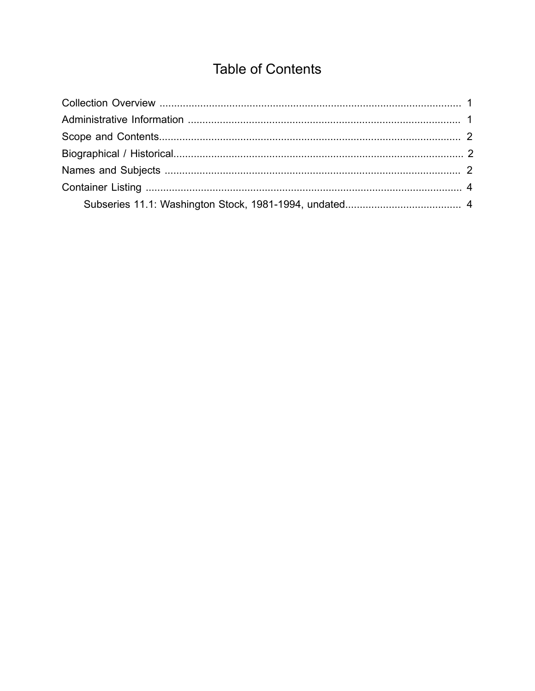## **Table of Contents**

<span id="page-1-0"></span>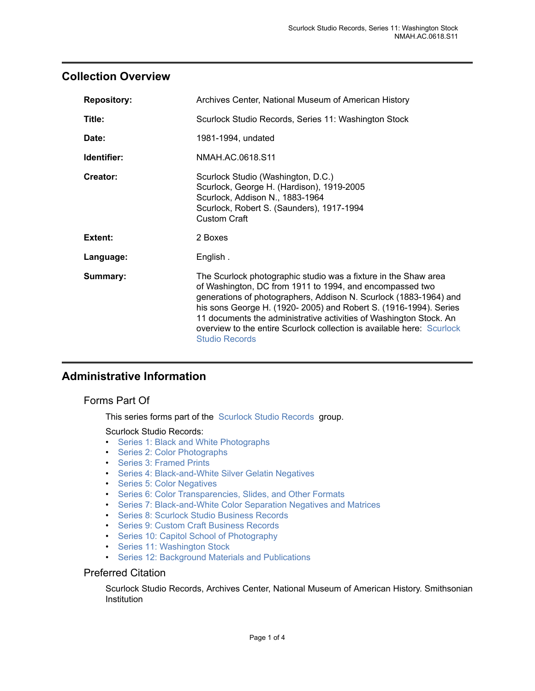### <span id="page-2-0"></span>**Collection Overview**

| Archives Center, National Museum of American History                                                                                                                                                                                                                                                                                                                                                                                          |  |
|-----------------------------------------------------------------------------------------------------------------------------------------------------------------------------------------------------------------------------------------------------------------------------------------------------------------------------------------------------------------------------------------------------------------------------------------------|--|
| Scurlock Studio Records, Series 11: Washington Stock                                                                                                                                                                                                                                                                                                                                                                                          |  |
| 1981-1994, undated                                                                                                                                                                                                                                                                                                                                                                                                                            |  |
| NMAH.AC.0618.S11                                                                                                                                                                                                                                                                                                                                                                                                                              |  |
| Scurlock Studio (Washington, D.C.)<br>Scurlock, George H. (Hardison), 1919-2005<br>Scurlock, Addison N., 1883-1964<br>Scurlock, Robert S. (Saunders), 1917-1994<br>Custom Craft                                                                                                                                                                                                                                                               |  |
| 2 Boxes                                                                                                                                                                                                                                                                                                                                                                                                                                       |  |
| English.                                                                                                                                                                                                                                                                                                                                                                                                                                      |  |
| The Scurlock photographic studio was a fixture in the Shaw area<br>of Washington, DC from 1911 to 1994, and encompassed two<br>generations of photographers, Addison N. Scurlock (1883-1964) and<br>his sons George H. (1920-2005) and Robert S. (1916-1994). Series<br>11 documents the administrative activities of Washington Stock. An<br>overview to the entire Scurlock collection is available here: Scurlock<br><b>Studio Records</b> |  |
|                                                                                                                                                                                                                                                                                                                                                                                                                                               |  |

## <span id="page-2-1"></span>**Administrative Information**

#### Forms Part Of

This series forms part of the [Scurlock Studio Records](http://sova.si.edu/record/NMAH.AC.0618) group.

Scurlock Studio Records:

- [Series 1: Black and White Photographs](http://sova.si.edu/record/NMAH.AC.0618.S01)
- [Series 2: Color Photographs](http://sova.si.edu/record/NMAH.AC.0618.S02)
- [Series 3: Framed Prints](http://sova.si.edu/record/NMAH.AC.0618.S03)
- [Series 4: Black-and-White Silver Gelatin Negatives](http://sova.si.edu/record/NMAH.AC.0618.S04)
- [Series 5: Color Negatives](http://sova.si.edu/record/NMAH.AC.0618.S05)
- Series 6: Color [Transparencies,](http://sova.si.edu/record/NMAH.AC.0618.S06) Slides, and Other Formats
- [Series 7: Black-and-White Color Separation Negatives and Matrices](http://sova.si.edu/record/NMAH.AC.0618.S07)
- [Series 8: Scurlock Studio Business Records](http://sova.si.edu/record/NMAH.AC.0618.S08)
- [Series 9: Custom Craft Business Records](http://sova.si.edu/record/NMAH.AC.0618.S09)
- [Series 10: Capitol School of Photography](http://sova.si.edu/record/NMAH.AC.0618.S10)
- Series 11: [Washington](http://sova.si.edu/record/NMAH.AC.0618.S11) Stock
- [Series 12: Background Materials and Publications](http://sova.si.edu/record/NMAH.AC.0618.S12)

#### Preferred Citation

Scurlock Studio Records, Archives Center, National Museum of American History. Smithsonian Institution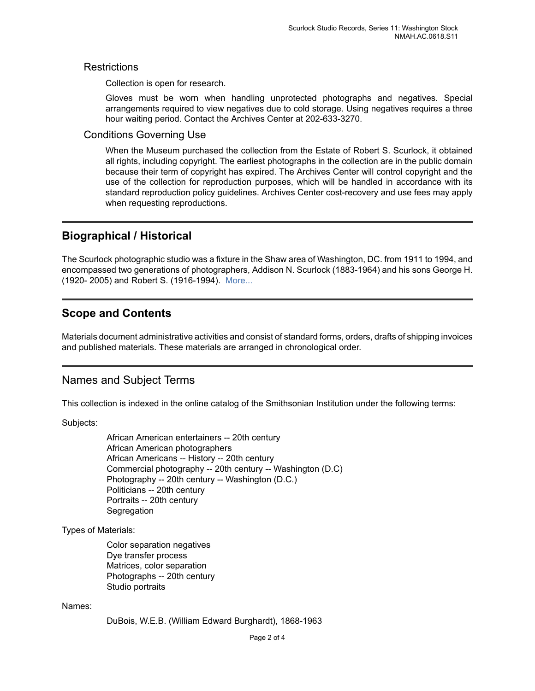#### **Restrictions**

Collection is open for research.

Gloves must be worn when handling unprotected photographs and negatives. Special arrangements required to view negatives due to cold storage. Using negatives requires a three hour waiting period. Contact the Archives Center at 202-633-3270.

#### Conditions Governing Use

When the Museum purchased the collection from the Estate of Robert S. Scurlock, it obtained all rights, including copyright. The earliest photographs in the collection are in the public domain because their term of copyright has expired. The Archives Center will control copyright and the use of the collection for reproduction purposes, which will be handled in accordance with its standard reproduction policy guidelines. Archives Center cost-recovery and use fees may apply when requesting reproductions.

## <span id="page-3-1"></span>**Biographical / Historical**

The Scurlock photographic studio was a fixture in the Shaw area of Washington, DC. from 1911 to 1994, and encompassed two generations of photographers, Addison N. Scurlock (1883-1964) and his sons George H. (1920- 2005) and Robert S. (1916-1994). [More...](http://sova.si.edu/record/NMAH.AC.0618)

## <span id="page-3-0"></span>**Scope and Contents**

Materials document administrative activities and consist of standard forms, orders, drafts of shipping invoices and published materials. These materials are arranged in chronological order.

### <span id="page-3-2"></span>Names and Subject Terms

This collection is indexed in the online catalog of the Smithsonian Institution under the following terms:

Subjects:

African American entertainers -- 20th century African American photographers African Americans -- History -- 20th century Commercial photography -- 20th century -- Washington (D.C) Photography -- 20th century -- Washington (D.C.) Politicians -- 20th century Portraits -- 20th century **Segregation** 

Types of Materials:

Color separation negatives Dye transfer process Matrices, color separation Photographs -- 20th century Studio portraits

#### Names:

DuBois, W.E.B. (William Edward Burghardt), 1868-1963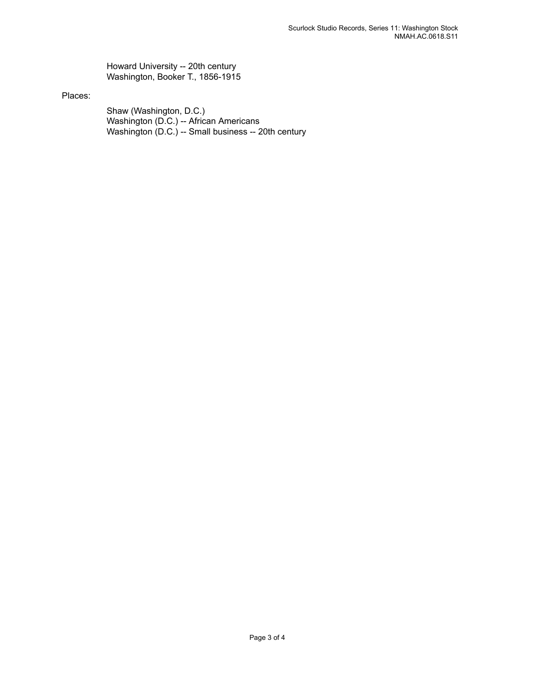Howard University -- 20th century Washington, Booker T., 1856-1915

#### Places:

Shaw (Washington, D.C.) Washington (D.C.) -- African Americans Washington (D.C.) -- Small business -- 20th century